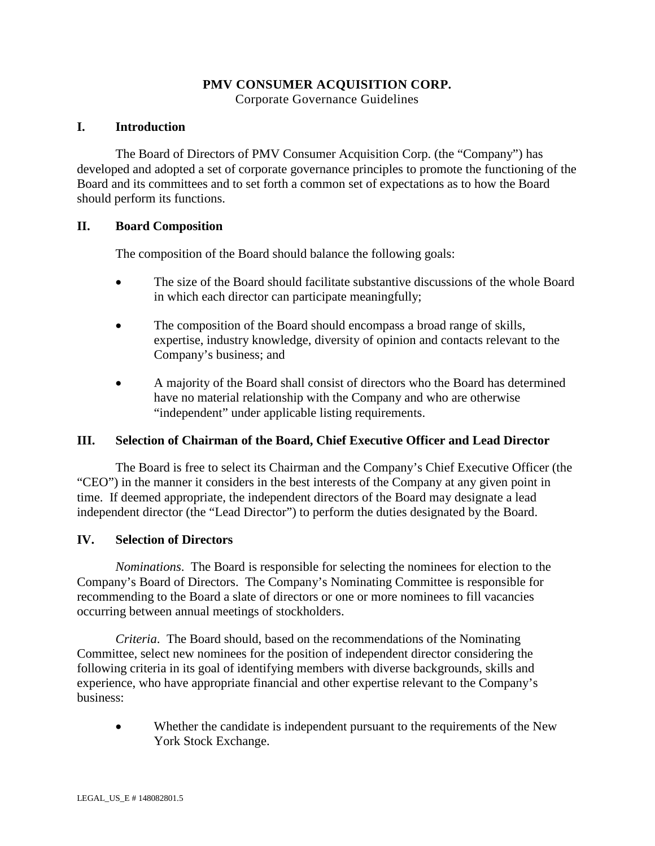# **PMV CONSUMER ACQUISITION CORP.**

Corporate Governance Guidelines

## **I. Introduction**

The Board of Directors of PMV Consumer Acquisition Corp. (the "Company") has developed and adopted a set of corporate governance principles to promote the functioning of the Board and its committees and to set forth a common set of expectations as to how the Board should perform its functions.

## **II. Board Composition**

The composition of the Board should balance the following goals:

- The size of the Board should facilitate substantive discussions of the whole Board in which each director can participate meaningfully;
- The composition of the Board should encompass a broad range of skills, expertise, industry knowledge, diversity of opinion and contacts relevant to the Company's business; and
- A majority of the Board shall consist of directors who the Board has determined have no material relationship with the Company and who are otherwise "independent" under applicable listing requirements.

# **III. Selection of Chairman of the Board, Chief Executive Officer and Lead Director**

The Board is free to select its Chairman and the Company's Chief Executive Officer (the "CEO") in the manner it considers in the best interests of the Company at any given point in time. If deemed appropriate, the independent directors of the Board may designate a lead independent director (the "Lead Director") to perform the duties designated by the Board.

## **IV. Selection of Directors**

*Nominations*. The Board is responsible for selecting the nominees for election to the Company's Board of Directors. The Company's Nominating Committee is responsible for recommending to the Board a slate of directors or one or more nominees to fill vacancies occurring between annual meetings of stockholders.

*Criteria*. The Board should, based on the recommendations of the Nominating Committee, select new nominees for the position of independent director considering the following criteria in its goal of identifying members with diverse backgrounds, skills and experience, who have appropriate financial and other expertise relevant to the Company's business:

• Whether the candidate is independent pursuant to the requirements of the New York Stock Exchange.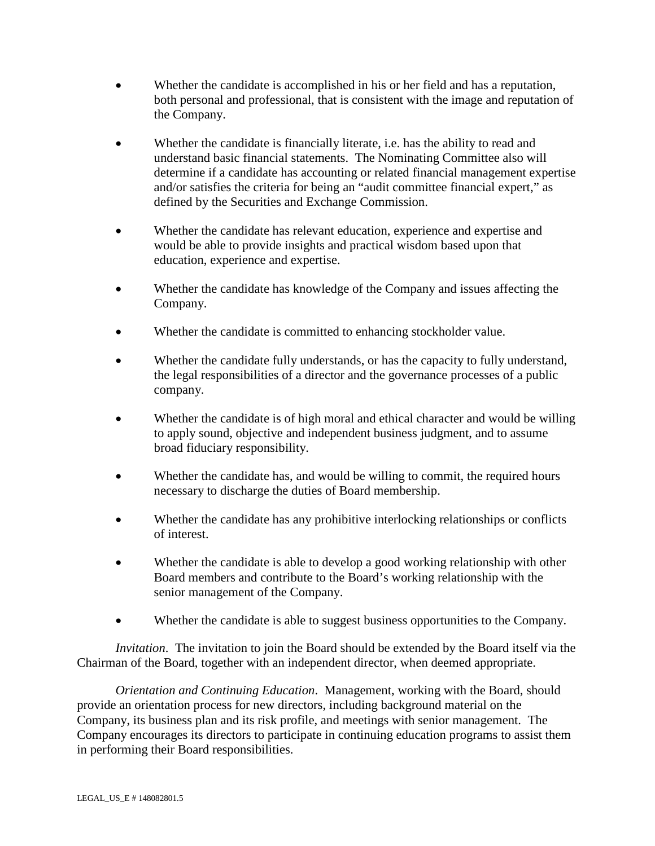- Whether the candidate is accomplished in his or her field and has a reputation, both personal and professional, that is consistent with the image and reputation of the Company.
- Whether the candidate is financially literate, *i.e.* has the ability to read and understand basic financial statements. The Nominating Committee also will determine if a candidate has accounting or related financial management expertise and/or satisfies the criteria for being an "audit committee financial expert," as defined by the Securities and Exchange Commission.
- Whether the candidate has relevant education, experience and expertise and would be able to provide insights and practical wisdom based upon that education, experience and expertise.
- Whether the candidate has knowledge of the Company and issues affecting the Company.
- Whether the candidate is committed to enhancing stockholder value.
- Whether the candidate fully understands, or has the capacity to fully understand, the legal responsibilities of a director and the governance processes of a public company.
- Whether the candidate is of high moral and ethical character and would be willing to apply sound, objective and independent business judgment, and to assume broad fiduciary responsibility.
- Whether the candidate has, and would be willing to commit, the required hours necessary to discharge the duties of Board membership.
- Whether the candidate has any prohibitive interlocking relationships or conflicts of interest.
- Whether the candidate is able to develop a good working relationship with other Board members and contribute to the Board's working relationship with the senior management of the Company.
- Whether the candidate is able to suggest business opportunities to the Company.

*Invitation*. The invitation to join the Board should be extended by the Board itself via the Chairman of the Board, together with an independent director, when deemed appropriate.

*Orientation and Continuing Education*. Management, working with the Board, should provide an orientation process for new directors, including background material on the Company, its business plan and its risk profile, and meetings with senior management. The Company encourages its directors to participate in continuing education programs to assist them in performing their Board responsibilities.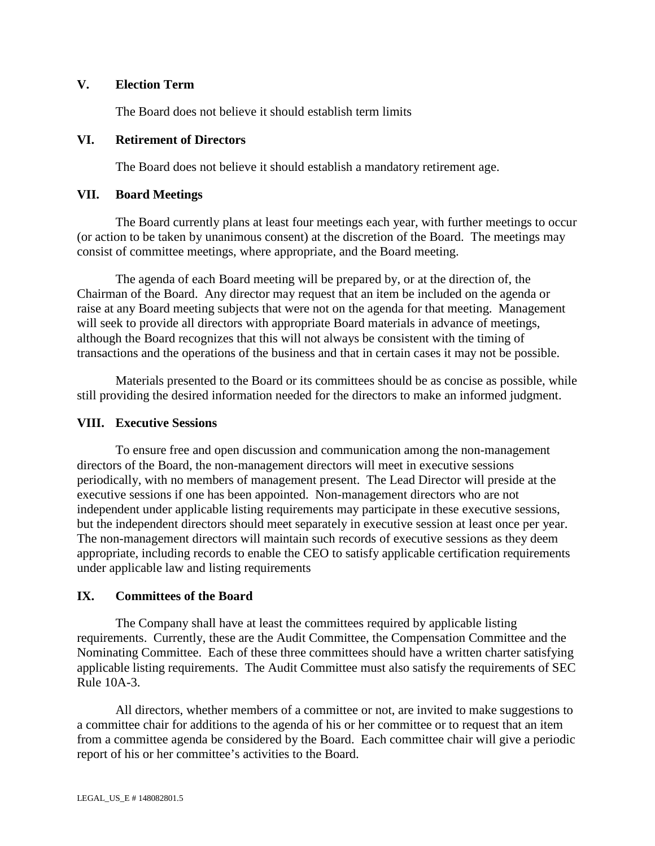## **V. Election Term**

The Board does not believe it should establish term limits

#### **VI. Retirement of Directors**

The Board does not believe it should establish a mandatory retirement age.

## **VII. Board Meetings**

The Board currently plans at least four meetings each year, with further meetings to occur (or action to be taken by unanimous consent) at the discretion of the Board. The meetings may consist of committee meetings, where appropriate, and the Board meeting.

The agenda of each Board meeting will be prepared by, or at the direction of, the Chairman of the Board. Any director may request that an item be included on the agenda or raise at any Board meeting subjects that were not on the agenda for that meeting. Management will seek to provide all directors with appropriate Board materials in advance of meetings, although the Board recognizes that this will not always be consistent with the timing of transactions and the operations of the business and that in certain cases it may not be possible.

Materials presented to the Board or its committees should be as concise as possible, while still providing the desired information needed for the directors to make an informed judgment.

#### **VIII. Executive Sessions**

To ensure free and open discussion and communication among the non-management directors of the Board, the non-management directors will meet in executive sessions periodically, with no members of management present. The Lead Director will preside at the executive sessions if one has been appointed. Non-management directors who are not independent under applicable listing requirements may participate in these executive sessions, but the independent directors should meet separately in executive session at least once per year. The non-management directors will maintain such records of executive sessions as they deem appropriate, including records to enable the CEO to satisfy applicable certification requirements under applicable law and listing requirements

#### **IX. Committees of the Board**

The Company shall have at least the committees required by applicable listing requirements. Currently, these are the Audit Committee, the Compensation Committee and the Nominating Committee. Each of these three committees should have a written charter satisfying applicable listing requirements. The Audit Committee must also satisfy the requirements of SEC Rule 10A-3.

All directors, whether members of a committee or not, are invited to make suggestions to a committee chair for additions to the agenda of his or her committee or to request that an item from a committee agenda be considered by the Board. Each committee chair will give a periodic report of his or her committee's activities to the Board.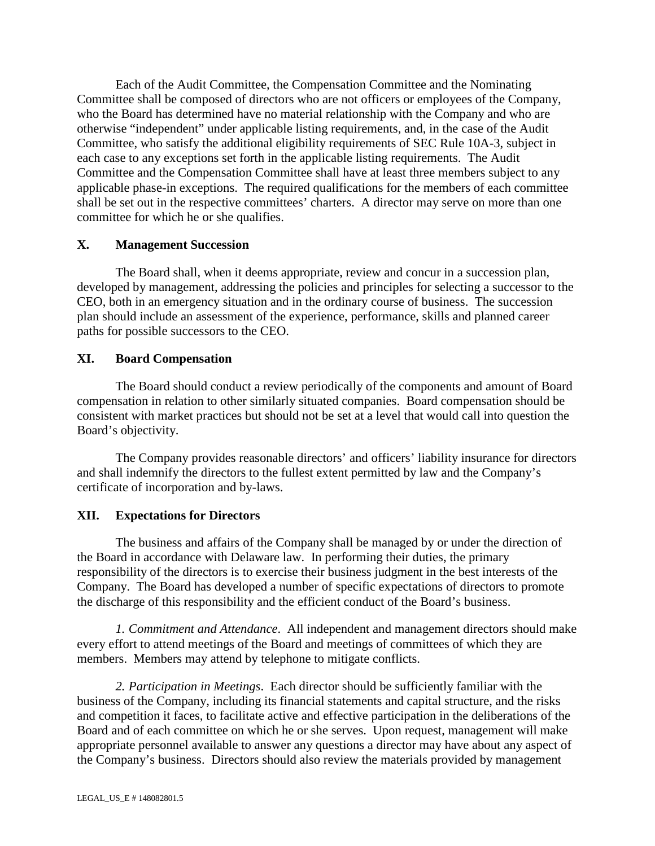Each of the Audit Committee, the Compensation Committee and the Nominating Committee shall be composed of directors who are not officers or employees of the Company, who the Board has determined have no material relationship with the Company and who are otherwise "independent" under applicable listing requirements, and, in the case of the Audit Committee, who satisfy the additional eligibility requirements of SEC Rule 10A-3, subject in each case to any exceptions set forth in the applicable listing requirements. The Audit Committee and the Compensation Committee shall have at least three members subject to any applicable phase-in exceptions. The required qualifications for the members of each committee shall be set out in the respective committees' charters. A director may serve on more than one committee for which he or she qualifies.

#### **X. Management Succession**

The Board shall, when it deems appropriate, review and concur in a succession plan, developed by management, addressing the policies and principles for selecting a successor to the CEO, both in an emergency situation and in the ordinary course of business. The succession plan should include an assessment of the experience, performance, skills and planned career paths for possible successors to the CEO.

## **XI. Board Compensation**

The Board should conduct a review periodically of the components and amount of Board compensation in relation to other similarly situated companies. Board compensation should be consistent with market practices but should not be set at a level that would call into question the Board's objectivity.

The Company provides reasonable directors' and officers' liability insurance for directors and shall indemnify the directors to the fullest extent permitted by law and the Company's certificate of incorporation and by-laws.

## **XII. Expectations for Directors**

The business and affairs of the Company shall be managed by or under the direction of the Board in accordance with Delaware law. In performing their duties, the primary responsibility of the directors is to exercise their business judgment in the best interests of the Company. The Board has developed a number of specific expectations of directors to promote the discharge of this responsibility and the efficient conduct of the Board's business.

*1. Commitment and Attendance*. All independent and management directors should make every effort to attend meetings of the Board and meetings of committees of which they are members. Members may attend by telephone to mitigate conflicts.

*2. Participation in Meetings*. Each director should be sufficiently familiar with the business of the Company, including its financial statements and capital structure, and the risks and competition it faces, to facilitate active and effective participation in the deliberations of the Board and of each committee on which he or she serves. Upon request, management will make appropriate personnel available to answer any questions a director may have about any aspect of the Company's business. Directors should also review the materials provided by management